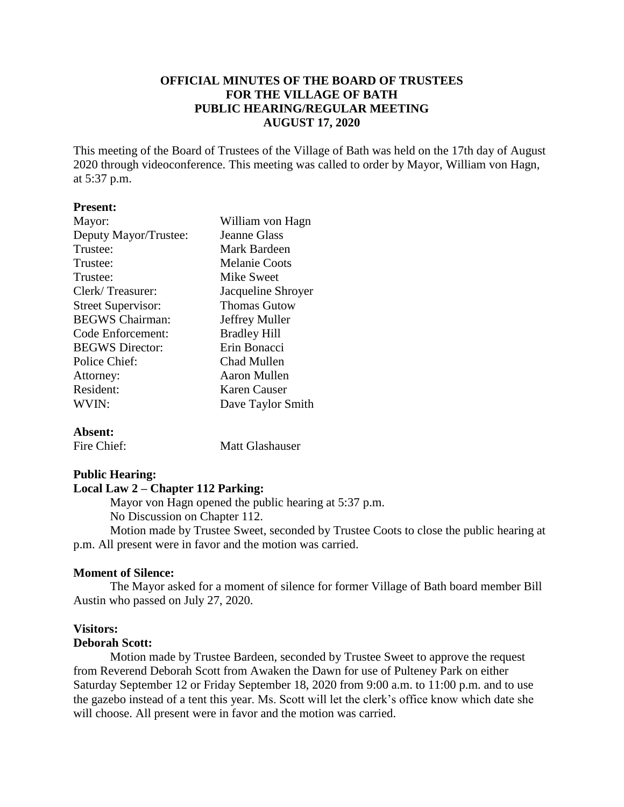## **OFFICIAL MINUTES OF THE BOARD OF TRUSTEES FOR THE VILLAGE OF BATH PUBLIC HEARING/REGULAR MEETING AUGUST 17, 2020**

This meeting of the Board of Trustees of the Village of Bath was held on the 17th day of August 2020 through videoconference. This meeting was called to order by Mayor, William von Hagn, at 5:37 p.m.

#### **Present:**

| Mayor:                    | William von Hagn    |
|---------------------------|---------------------|
| Deputy Mayor/Trustee:     | <b>Jeanne Glass</b> |
| Trustee:                  | Mark Bardeen        |
| Trustee:                  | Melanie Coots       |
| Trustee:                  | Mike Sweet          |
| Clerk/Treasurer:          | Jacqueline Shroyer  |
| <b>Street Supervisor:</b> | <b>Thomas Gutow</b> |
| <b>BEGWS</b> Chairman:    | Jeffrey Muller      |
| Code Enforcement:         | <b>Bradley Hill</b> |
| <b>BEGWS</b> Director:    | Erin Bonacci        |
| Police Chief:             | Chad Mullen         |
| Attorney:                 | Aaron Mullen        |
| Resident:                 | <b>Karen Causer</b> |
| WVIN:                     | Dave Taylor Smith   |
|                           |                     |

### **Absent:**

Fire Chief: Matt Glashauser

### **Public Hearing:**

## **Local Law 2 – Chapter 112 Parking:**

Mayor von Hagn opened the public hearing at 5:37 p.m. No Discussion on Chapter 112.

Motion made by Trustee Sweet, seconded by Trustee Coots to close the public hearing at p.m. All present were in favor and the motion was carried.

### **Moment of Silence:**

The Mayor asked for a moment of silence for former Village of Bath board member Bill Austin who passed on July 27, 2020.

## **Visitors:**

### **Deborah Scott:**

Motion made by Trustee Bardeen, seconded by Trustee Sweet to approve the request from Reverend Deborah Scott from Awaken the Dawn for use of Pulteney Park on either Saturday September 12 or Friday September 18, 2020 from 9:00 a.m. to 11:00 p.m. and to use the gazebo instead of a tent this year. Ms. Scott will let the clerk's office know which date she will choose. All present were in favor and the motion was carried.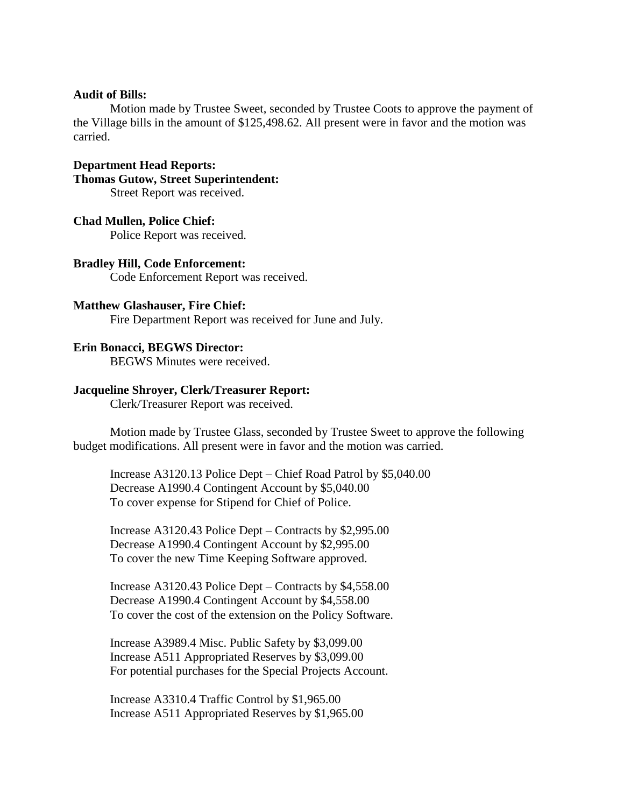#### **Audit of Bills:**

Motion made by Trustee Sweet, seconded by Trustee Coots to approve the payment of the Village bills in the amount of \$125,498.62. All present were in favor and the motion was carried.

**Department Head Reports: Thomas Gutow, Street Superintendent:** Street Report was received.

#### **Chad Mullen, Police Chief:**

Police Report was received.

**Bradley Hill, Code Enforcement:** Code Enforcement Report was received.

#### **Matthew Glashauser, Fire Chief:**

Fire Department Report was received for June and July.

### **Erin Bonacci, BEGWS Director:**

BEGWS Minutes were received.

#### **Jacqueline Shroyer, Clerk/Treasurer Report:**

Clerk/Treasurer Report was received.

Motion made by Trustee Glass, seconded by Trustee Sweet to approve the following budget modifications. All present were in favor and the motion was carried.

Increase A3120.13 Police Dept – Chief Road Patrol by \$5,040.00 Decrease A1990.4 Contingent Account by \$5,040.00 To cover expense for Stipend for Chief of Police.

Increase A3120.43 Police Dept – Contracts by \$2,995.00 Decrease A1990.4 Contingent Account by \$2,995.00 To cover the new Time Keeping Software approved.

Increase A3120.43 Police Dept – Contracts by \$4,558.00 Decrease A1990.4 Contingent Account by \$4,558.00 To cover the cost of the extension on the Policy Software.

Increase A3989.4 Misc. Public Safety by \$3,099.00 Increase A511 Appropriated Reserves by \$3,099.00 For potential purchases for the Special Projects Account.

Increase A3310.4 Traffic Control by \$1,965.00 Increase A511 Appropriated Reserves by \$1,965.00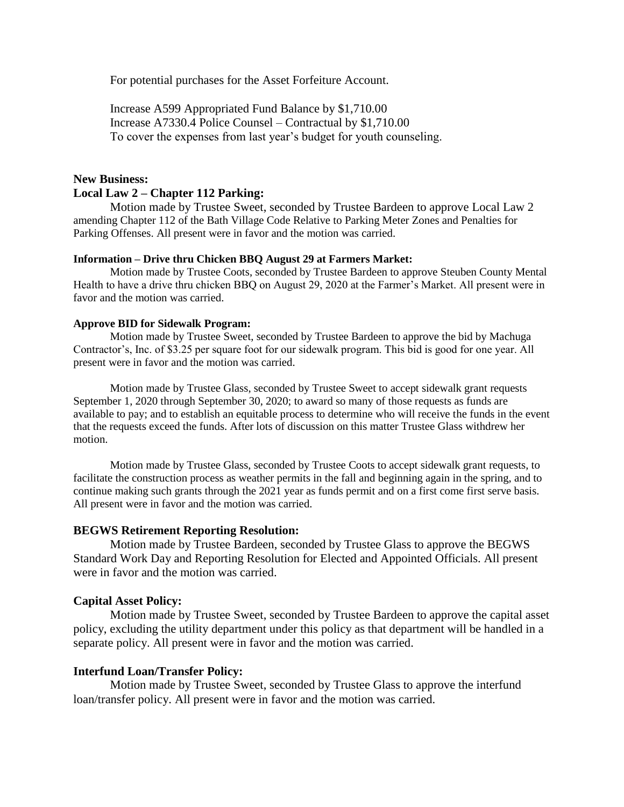For potential purchases for the Asset Forfeiture Account.

Increase A599 Appropriated Fund Balance by \$1,710.00 Increase A7330.4 Police Counsel – Contractual by \$1,710.00 To cover the expenses from last year's budget for youth counseling.

# **New Business: Local Law 2 – Chapter 112 Parking:**

Motion made by Trustee Sweet, seconded by Trustee Bardeen to approve Local Law 2 amending Chapter 112 of the Bath Village Code Relative to Parking Meter Zones and Penalties for Parking Offenses. All present were in favor and the motion was carried.

#### **Information – Drive thru Chicken BBQ August 29 at Farmers Market:**

Motion made by Trustee Coots, seconded by Trustee Bardeen to approve Steuben County Mental Health to have a drive thru chicken BBQ on August 29, 2020 at the Farmer's Market. All present were in favor and the motion was carried.

### **Approve BID for Sidewalk Program:**

Motion made by Trustee Sweet, seconded by Trustee Bardeen to approve the bid by Machuga Contractor's, Inc. of \$3.25 per square foot for our sidewalk program. This bid is good for one year. All present were in favor and the motion was carried.

Motion made by Trustee Glass, seconded by Trustee Sweet to accept sidewalk grant requests September 1, 2020 through September 30, 2020; to award so many of those requests as funds are available to pay; and to establish an equitable process to determine who will receive the funds in the event that the requests exceed the funds. After lots of discussion on this matter Trustee Glass withdrew her motion.

Motion made by Trustee Glass, seconded by Trustee Coots to accept sidewalk grant requests, to facilitate the construction process as weather permits in the fall and beginning again in the spring, and to continue making such grants through the 2021 year as funds permit and on a first come first serve basis. All present were in favor and the motion was carried.

### **BEGWS Retirement Reporting Resolution:**

Motion made by Trustee Bardeen, seconded by Trustee Glass to approve the BEGWS Standard Work Day and Reporting Resolution for Elected and Appointed Officials. All present were in favor and the motion was carried.

### **Capital Asset Policy:**

Motion made by Trustee Sweet, seconded by Trustee Bardeen to approve the capital asset policy, excluding the utility department under this policy as that department will be handled in a separate policy. All present were in favor and the motion was carried.

### **Interfund Loan/Transfer Policy:**

Motion made by Trustee Sweet, seconded by Trustee Glass to approve the interfund loan/transfer policy. All present were in favor and the motion was carried.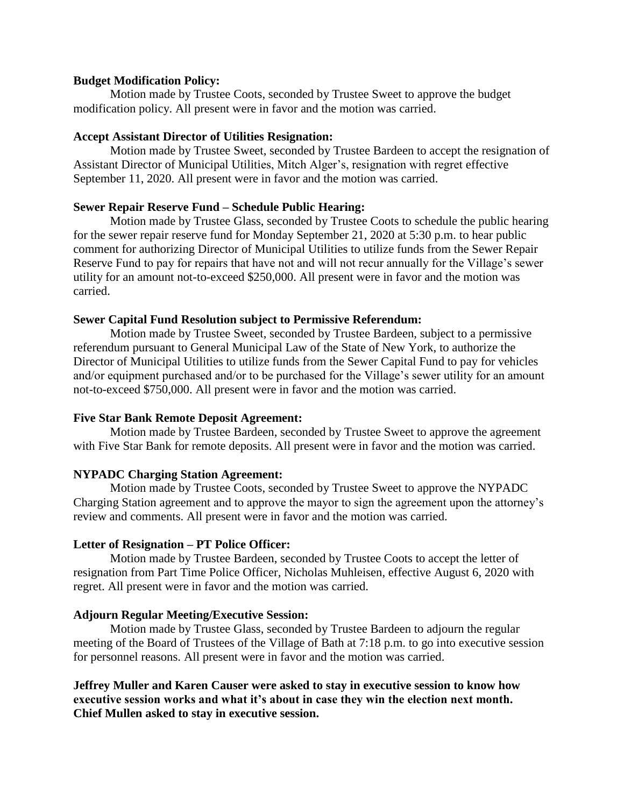## **Budget Modification Policy:**

Motion made by Trustee Coots, seconded by Trustee Sweet to approve the budget modification policy. All present were in favor and the motion was carried.

## **Accept Assistant Director of Utilities Resignation:**

Motion made by Trustee Sweet, seconded by Trustee Bardeen to accept the resignation of Assistant Director of Municipal Utilities, Mitch Alger's, resignation with regret effective September 11, 2020. All present were in favor and the motion was carried.

## **Sewer Repair Reserve Fund – Schedule Public Hearing:**

Motion made by Trustee Glass, seconded by Trustee Coots to schedule the public hearing for the sewer repair reserve fund for Monday September 21, 2020 at 5:30 p.m. to hear public comment for authorizing Director of Municipal Utilities to utilize funds from the Sewer Repair Reserve Fund to pay for repairs that have not and will not recur annually for the Village's sewer utility for an amount not-to-exceed \$250,000. All present were in favor and the motion was carried.

## **Sewer Capital Fund Resolution subject to Permissive Referendum:**

Motion made by Trustee Sweet, seconded by Trustee Bardeen, subject to a permissive referendum pursuant to General Municipal Law of the State of New York, to authorize the Director of Municipal Utilities to utilize funds from the Sewer Capital Fund to pay for vehicles and/or equipment purchased and/or to be purchased for the Village's sewer utility for an amount not-to-exceed \$750,000. All present were in favor and the motion was carried.

## **Five Star Bank Remote Deposit Agreement:**

Motion made by Trustee Bardeen, seconded by Trustee Sweet to approve the agreement with Five Star Bank for remote deposits. All present were in favor and the motion was carried.

## **NYPADC Charging Station Agreement:**

Motion made by Trustee Coots, seconded by Trustee Sweet to approve the NYPADC Charging Station agreement and to approve the mayor to sign the agreement upon the attorney's review and comments. All present were in favor and the motion was carried.

### **Letter of Resignation – PT Police Officer:**

Motion made by Trustee Bardeen, seconded by Trustee Coots to accept the letter of resignation from Part Time Police Officer, Nicholas Muhleisen, effective August 6, 2020 with regret. All present were in favor and the motion was carried.

### **Adjourn Regular Meeting/Executive Session:**

Motion made by Trustee Glass, seconded by Trustee Bardeen to adjourn the regular meeting of the Board of Trustees of the Village of Bath at 7:18 p.m. to go into executive session for personnel reasons. All present were in favor and the motion was carried.

**Jeffrey Muller and Karen Causer were asked to stay in executive session to know how executive session works and what it's about in case they win the election next month. Chief Mullen asked to stay in executive session.**